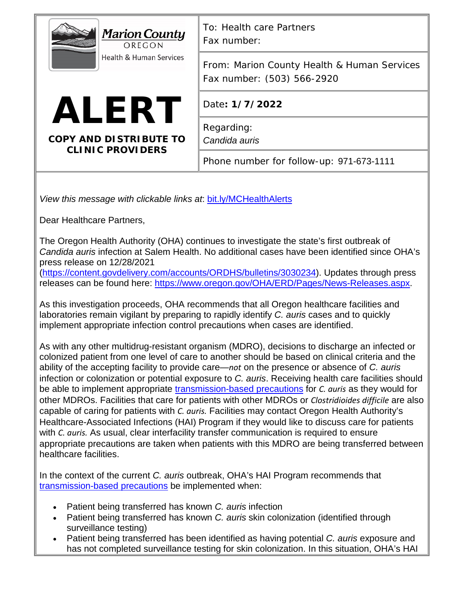| <b>Marion County</b><br>OREGON<br><b>Health &amp; Human Services</b> | To: Health care Partners<br>Fax number:                                   |
|----------------------------------------------------------------------|---------------------------------------------------------------------------|
|                                                                      | From: Marion County Health & Human Services<br>Fax number: (503) 566-2920 |
| <b>ALERT</b>                                                         | Date: 1/7/2022                                                            |
| <b>COPY AND DISTRIBUTE TO</b><br><b>CLINIC PROVIDERS</b>             | Regarding:<br>Candida auris                                               |
|                                                                      | Phone number for follow-up: 971-673-1111                                  |
|                                                                      |                                                                           |

*View this message with clickable links at*: [bit.ly/MCHealthAlerts](https://www.co.marion.or.us/HLT/PH/Epid/Pages/Alerts.aspx)

Dear Healthcare Partners,

The Oregon Health Authority (OHA) continues to investigate the state's first outbreak of *Candida auris* infection at Salem Health. No additional cases have been identified since OHA's press release on 12/28/2021

[\(https://content.govdelivery.com/accounts/ORDHS/bulletins/3030234\)](https://content.govdelivery.com/accounts/ORDHS/bulletins/3030234). Updates through press releases can be found here: [https://www.oregon.gov/OHA/ERD/Pages/News-Releases.aspx.](https://www.oregon.gov/OHA/ERD/Pages/News-Releases.aspx)

As this investigation proceeds, OHA recommends that all Oregon healthcare facilities and laboratories remain vigilant by preparing to rapidly identify *C. auris* cases and to quickly implement appropriate infection control precautions when cases are identified.

As with any other multidrug-resistant organism (MDRO), decisions to discharge an infected or colonized patient from one level of care to another should be based on clinical criteria and the ability of the accepting facility to provide care—*not* on the presence or absence of *C. auris* infection or colonization or potential exposure to *C. auris*. Receiving health care facilities should be able to implement appropriate [transmission-based precautions](https://www.cdc.gov/fungal/candida-auris/c-auris-infection-control.html#nursing) for *C. auris* as they would for other MDROs. Facilities that care for patients with other MDROs or *Clostridioides difficile* are also capable of caring for patients with *C. auris.* Facilities may contact Oregon Health Authority's Healthcare-Associated Infections (HAI) Program if they would like to discuss care for patients with *C. auris.* As usual, clear interfacility transfer communication is required to ensure appropriate precautions are taken when patients with this MDRO are being transferred between healthcare facilities.

In the context of the current *C. auris* outbreak, OHA's HAI Program recommends that [transmission-based precautions](https://www.cdc.gov/fungal/candida-auris/c-auris-infection-control.html#nursing) be implemented when:

- Patient being transferred has known *C. auris* infection
- Patient being transferred has known *C. auris* skin colonization (identified through surveillance testing)
- Patient being transferred has been identified as having potential *C. auris* exposure and has not completed surveillance testing for skin colonization. In this situation, OHA's HAI